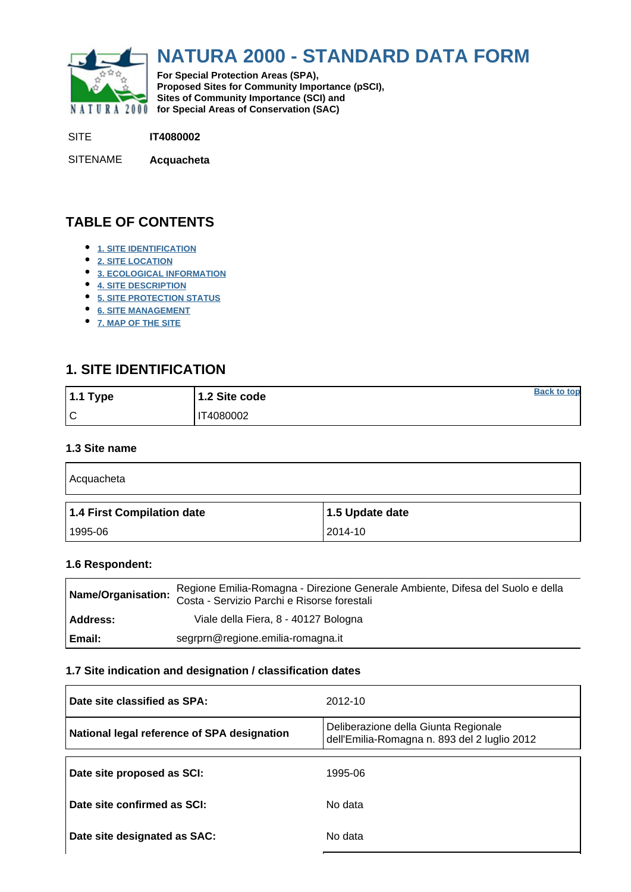<span id="page-0-0"></span>

## **NATURA 2000 - STANDARD DATA FORM**

**For Special Protection Areas (SPA), Proposed Sites for Community Importance (pSCI), Sites of Community Importance (SCI) and NATURA 2000** for Special Areas of Conservation (SAC)

SITE **IT4080002**

SITENAME **Acquacheta**

## **TABLE OF CONTENTS**

- **[1. SITE IDENTIFICATION](#page-0-1)**
- **[2. SITE LOCATION](#page-1-0)**
- **[3. ECOLOGICAL INFORMATION](#page-1-1)**
- **[4. SITE DESCRIPTION](#page-5-0)**
- **[5. SITE PROTECTION STATUS](#page-5-1)**
- **[6. SITE MANAGEMENT](#page-6-0)**
- **[7. MAP OF THE SITE](#page-6-1)**

## <span id="page-0-1"></span>**1. SITE IDENTIFICATION**

| $1.1$ Type | 1.2 Site code | <b>Back to top</b> |
|------------|---------------|--------------------|
| ١c         | IT4080002     |                    |

#### **1.3 Site name**

| Acquacheta                 |                 |
|----------------------------|-----------------|
| 1.4 First Compilation date | 1.5 Update date |
| 1995-06                    | 2014-10         |

#### **1.6 Respondent:**

| Name/Organisation: | Regione Emilia-Romagna - Direzione Generale Ambiente, Difesa del Suolo e della<br>Costa - Servizio Parchi e Risorse forestali |
|--------------------|-------------------------------------------------------------------------------------------------------------------------------|
| Address:           | Viale della Fiera, 8 - 40127 Bologna                                                                                          |
| l Email:           | segrprn@regione.emilia-romagna.it                                                                                             |

#### **1.7 Site indication and designation / classification dates**

| Date site classified as SPA:                | 2012-10                                                                              |
|---------------------------------------------|--------------------------------------------------------------------------------------|
| National legal reference of SPA designation | Deliberazione della Giunta Regionale<br>dell'Emilia-Romagna n. 893 del 2 luglio 2012 |
| Date site proposed as SCI:                  | 1995-06                                                                              |
| Date site confirmed as SCI:                 | No data                                                                              |
| Date site designated as SAC:                | No data                                                                              |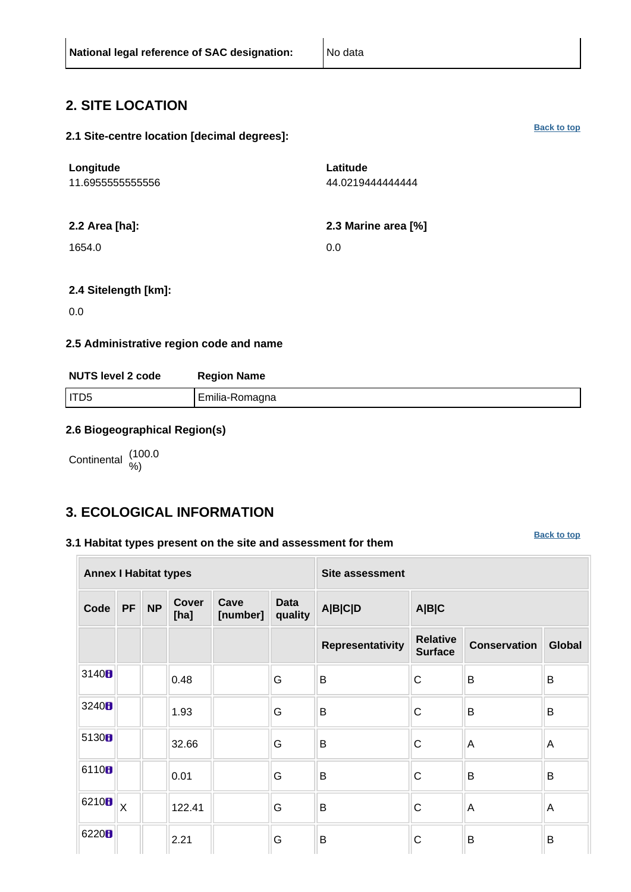### <span id="page-1-0"></span>**2. SITE LOCATION**

#### **2.1 Site-centre location [decimal degrees]:**

| Longitude<br>11.6955555555556 | Latitude<br>44.0219444444444 |
|-------------------------------|------------------------------|
| 2.2 Area [ha]:                | 2.3 Marine area [%]          |
| 1654.0                        | 0.0                          |
|                               |                              |

#### **2.4 Sitelength [km]:**

0.0

#### **2.5 Administrative region code and name**

| <b>NUTS level 2 code</b> | <b>Region Name</b> |
|--------------------------|--------------------|
| I ITD5                   | Emilia-Romagna     |

#### **2.6 Biogeographical Region(s)**

Continental (100.0

## <span id="page-1-1"></span>**3. ECOLOGICAL INFORMATION**

#### **3.1 Habitat types present on the site and assessment for them**

**[Back to top](#page-0-0)**

|                   | <b>Annex I Habitat types</b> |           |                      |                  |                        | <b>Site assessment</b> |                                   |                     |               |  |
|-------------------|------------------------------|-----------|----------------------|------------------|------------------------|------------------------|-----------------------------------|---------------------|---------------|--|
| Code              | <b>PF</b>                    | <b>NP</b> | <b>Cover</b><br>[ha] | Cave<br>[number] | <b>Data</b><br>quality | <b>A B C D</b>         | A B C                             |                     |               |  |
|                   |                              |           |                      |                  |                        | Representativity       | <b>Relative</b><br><b>Surface</b> | <b>Conservation</b> | <b>Global</b> |  |
| 3140H             |                              |           | 0.48                 |                  | G                      | B                      | $\mathsf{C}$                      | B                   | B             |  |
| 3240H             |                              |           | 1.93                 |                  | G                      | B                      | $\mathsf{C}$                      | B                   | B             |  |
| 5130B             |                              |           | 32.66                |                  | G                      | B                      | $\mathsf{C}$                      | $\overline{A}$      | Α             |  |
| 6110B             |                              |           | 0.01                 |                  | G                      | B                      | $\mathsf{C}$                      | B                   | B             |  |
| 6210 <sub>B</sub> | $\overline{\mathsf{X}}$      |           | 122.41               |                  | G                      | B                      | $\mathsf{C}$                      | A                   | A             |  |
| 6220H             |                              |           | 2.21                 |                  | G                      | B                      | $\mathsf{C}$                      | B                   | B             |  |

**[Back to top](#page-0-0)**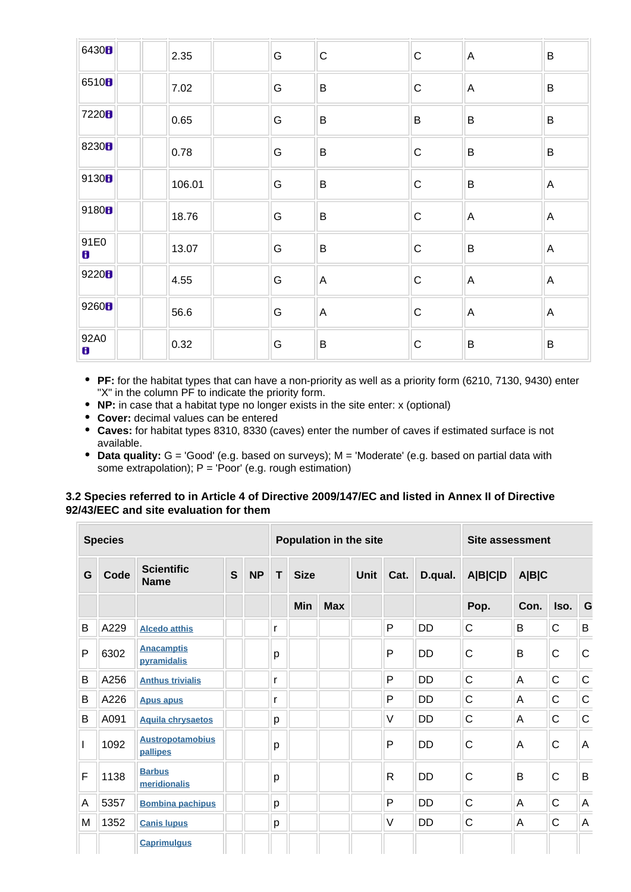| 6430 <sub>B</sub>    | 2.35   | G | $\mathsf C$  | $\mathsf C$ | $\mathsf{A}$   | B              |
|----------------------|--------|---|--------------|-------------|----------------|----------------|
| 65108                | 7.02   | G | $\sf B$      | $\mathbf C$ | $\mathsf{A}$   | B              |
| 7220B                | 0.65   | G | B            | B           | $\sf B$        | B              |
| 8230 <sub>B</sub>    | 0.78   | G | $\sf B$      | $\mathsf C$ | $\sf B$        | $\sf B$        |
| 9130B                | 106.01 | G | $\, {\bf B}$ | $\mathbf C$ | $\sf B$        | $\overline{A}$ |
| 9180B                | 18.76  | G | B            | $\mathsf C$ | $\overline{A}$ | $\mathsf{A}$   |
| 91E0<br>$\mathbf{B}$ | 13.07  | G | $\sf B$      | ${\bf C}$   | $\sf B$        | $\mathsf{A}$   |
| 9220 <sub>8</sub>    | 4.55   | G | $\mathsf{A}$ | $\mathsf C$ | $\overline{A}$ | $\mathsf{A}$   |
| 9260B                | 56.6   | G | $\mathsf{A}$ | $\mathsf C$ | $\mathsf{A}$   | $\mathsf{A}$   |
| 92A0<br>8            | 0.32   | G | $\sf B$      | $\mathsf C$ | $\sf B$        | $\sf B$        |

- **PF:** for the habitat types that can have a non-priority as well as a priority form (6210, 7130, 9430) enter "X" in the column PF to indicate the priority form.
- **NP:** in case that a habitat type no longer exists in the site enter: x (optional)
- **Cover:** decimal values can be entered
- **Caves:** for habitat types 8310, 8330 (caves) enter the number of caves if estimated surface is not available.
- **Data quality:** G = 'Good' (e.g. based on surveys); M = 'Moderate' (e.g. based on partial data with some extrapolation);  $P = 'Poor'$  (e.g. rough estimation)

#### **3.2 Species referred to in Article 4 of Directive 2009/147/EC and listed in Annex II of Directive 92/43/EEC and site evaluation for them**

|   | <b>Species</b> |                                     |   |           |   |             |            | <b>Population in the site</b> | Site assessment |           |              |             |              |              |         |       |  |  |
|---|----------------|-------------------------------------|---|-----------|---|-------------|------------|-------------------------------|-----------------|-----------|--------------|-------------|--------------|--------------|---------|-------|--|--|
| G | Code           | <b>Scientific</b><br><b>Name</b>    | S | <b>NP</b> | T | <b>Size</b> |            |                               |                 |           |              | <b>Unit</b> | Cat.         | D.qual.      | A B C D | A B C |  |  |
|   |                |                                     |   |           |   | <b>Min</b>  | <b>Max</b> |                               |                 |           | Pop.         | Con.        | Iso.         | G            |         |       |  |  |
| B | A229           | <b>Alcedo atthis</b>                |   |           | r |             |            |                               | P               | DD        | $\mathsf{C}$ | B           | C            | B            |         |       |  |  |
| P | 6302           | <b>Anacamptis</b><br>pyramidalis    |   |           | p |             |            |                               | P               | <b>DD</b> | $\mathsf{C}$ | B           | $\mathsf C$  | $\mathsf{C}$ |         |       |  |  |
| B | A256           | <b>Anthus trivialis</b>             |   |           | r |             |            |                               | P               | <b>DD</b> | $\mathsf{C}$ | A           | $\mathsf C$  | $\mathsf C$  |         |       |  |  |
| B | A226           | <b>Apus apus</b>                    |   |           | r |             |            |                               | P               | <b>DD</b> | $\mathsf{C}$ | A           | C            | $\mathsf C$  |         |       |  |  |
| B | A091           | <b>Aquila chrysaetos</b>            |   |           | p |             |            |                               | $\vee$          | <b>DD</b> | $\mathsf{C}$ | A           | C            | $\mathsf C$  |         |       |  |  |
| I | 1092           | <b>Austropotamobius</b><br>pallipes |   |           | p |             |            |                               | P               | DD        | $\mathsf{C}$ | Α           | $\mathsf{C}$ | A            |         |       |  |  |
| F | 1138           | <b>Barbus</b><br>meridionalis       |   |           | p |             |            |                               | $\mathsf{R}$    | <b>DD</b> | $\mathsf{C}$ | B           | $\mathsf{C}$ | B            |         |       |  |  |
| A | 5357           | <b>Bombina pachipus</b>             |   |           | p |             |            |                               | P               | <b>DD</b> | $\mathsf{C}$ | A           | C            | A            |         |       |  |  |
| M | 1352           | <b>Canis lupus</b>                  |   |           | p |             |            |                               | $\vee$          | DD        | $\mathsf{C}$ | Α           | $\mathsf C$  | $\mathsf A$  |         |       |  |  |
|   |                | <b>Caprimulgus</b>                  |   |           |   |             |            |                               |                 |           |              |             |              |              |         |       |  |  |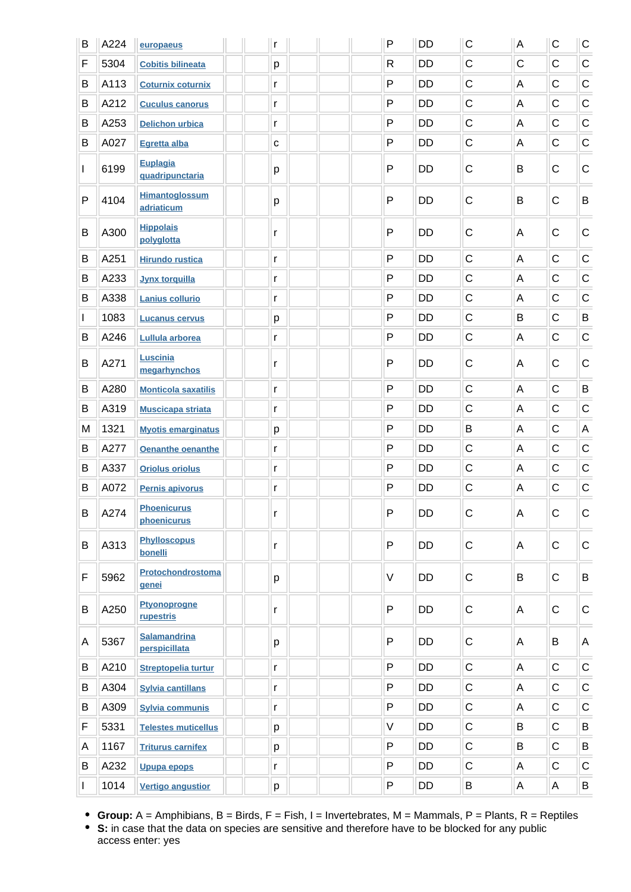| B            | A224 | europaeus                            |  | r            | P         | <b>DD</b> | $\mathsf C$  | A           | C            | C            |
|--------------|------|--------------------------------------|--|--------------|-----------|-----------|--------------|-------------|--------------|--------------|
| F            | 5304 | <b>Cobitis bilineata</b>             |  | p            | R         | DD        | $\mathsf C$  | $\mathsf C$ | $\mathsf{C}$ | $\mathsf C$  |
| B            | A113 | <b>Coturnix coturnix</b>             |  | r            | P         | DD        | $\mathsf{C}$ | A           | $\mathsf{C}$ | $\mathsf C$  |
| B            | A212 | <b>Cuculus canorus</b>               |  |              | P         | <b>DD</b> | $\mathsf{C}$ | A           | $\mathsf{C}$ | $\mathsf C$  |
| B            | A253 | <b>Delichon urbica</b>               |  | r            | P         | <b>DD</b> | $\mathsf{C}$ | A           | $\mathsf{C}$ | $\mathsf C$  |
| B            | A027 | <b>Egretta alba</b>                  |  | $\mathbf{C}$ | P         | DD        | $\mathsf C$  | А           | $\mathsf{C}$ | $\mathsf C$  |
| $\mathbf{I}$ | 6199 | <b>Euplagia</b><br>quadripunctaria   |  | р            | P         | <b>DD</b> | $\mathsf C$  | B           | $\mathsf C$  | $\mathsf C$  |
| P            | 4104 | <b>Himantoglossum</b><br>adriaticum  |  | р            | P         | <b>DD</b> | $\mathsf C$  | B           | $\mathsf C$  | B            |
| B            | A300 | <b>Hippolais</b><br>polyglotta       |  | r            | P         | DD        | $\mathsf C$  | A           | $\mathsf C$  | $\mathbf C$  |
| B            | A251 | <b>Hirundo rustica</b>               |  | r            | P         | <b>DD</b> | $\mathsf{C}$ | A           | $\mathsf C$  | $\mathsf C$  |
| В            | A233 | <b>Jynx torquilla</b>                |  | r            | P         | <b>DD</b> | $\mathsf{C}$ | A           | $\mathsf{C}$ | $\mathsf C$  |
| В            | A338 | <b>Lanius collurio</b>               |  | r            | P         | DD        | $\mathsf C$  | А           | $\mathsf C$  | $\mathsf C$  |
| L            | 1083 | <b>Lucanus cervus</b>                |  | р            | P         | <b>DD</b> | $\mathsf C$  | B           | $\mathsf{C}$ | B            |
| B            | A246 | <b>Lullula arborea</b>               |  | r            | P         | DD        | $\mathbf C$  | A           | $\mathsf C$  | $\mathsf C$  |
| B            | A271 | <b>Luscinia</b><br>megarhynchos      |  | r            | P         | DD        | $\mathsf C$  | Α           | C            | $\mathsf{C}$ |
| B            | A280 | <b>Monticola saxatilis</b>           |  | r            | P         | DD        | $\mathsf{C}$ | A           | $\mathsf{C}$ | B            |
| B            | A319 | <b>Muscicapa striata</b>             |  | r            | P         | <b>DD</b> | $\mathsf{C}$ | A           | $\mathsf{C}$ | $\mathsf C$  |
| M            | 1321 | <b>Myotis emarginatus</b>            |  | p            | P         | DD        | B            | A           | $\mathsf{C}$ | A            |
| B            | A277 | <b>Oenanthe oenanthe</b>             |  | r            | P         | <b>DD</b> | C            | A           | $\mathsf{C}$ | $\mathsf C$  |
| B            | A337 | <b>Oriolus oriolus</b>               |  | r            | P         | <b>DD</b> | $\mathsf{C}$ | A           | $\mathsf C$  | $\mathsf C$  |
| В            | A072 | Pernis apivorus                      |  | r            | P         | DD        | $\mathsf{C}$ | A           | $\mathsf C$  | $\mathsf C$  |
| B            | A274 | <b>Phoenicurus</b><br>phoenicurus    |  | Г            | P         | DD        | $\mathsf{C}$ | A           | $\mathsf C$  | $\mathsf C$  |
| B            | A313 | <b>Phylloscopus</b><br>bonelli       |  | r            | ${\sf P}$ | DD        | $\mathsf C$  | Α           | $\mathsf C$  | $\mathsf C$  |
| F            | 5962 | Protochondrostoma<br>genei           |  | p            | V         | <b>DD</b> | $\mathsf C$  | B           | $\mathsf C$  | B            |
| B            | A250 | <b>Ptyonoprogne</b><br>rupestris     |  | r            | P         | <b>DD</b> | $\mathsf C$  | Α           | $\mathsf C$  | $\mathsf C$  |
| А            | 5367 | <b>Salamandrina</b><br>perspicillata |  | p            | P         | <b>DD</b> | $\mathsf C$  | Α           | В            | A            |
| B            | A210 | <b>Streptopelia turtur</b>           |  | r            | P         | <b>DD</b> | $\mathsf C$  | A           | $\mathsf C$  | $\mathsf C$  |
| B            | A304 | <b>Sylvia cantillans</b>             |  | r            | P         | DD        | $\mathsf C$  | A           | $\mathsf C$  | $\mathsf C$  |
| B            | A309 | <b>Sylvia communis</b>               |  | r            | P         | DD        | $\mathsf C$  | Α           | C            | $\mathsf C$  |
| F            | 5331 | <b>Telestes muticellus</b>           |  | p            | $\vee$    | DD        | $\mathsf C$  | B           | $\mathsf{C}$ | B            |
| Α            | 1167 | <b>Triturus carnifex</b>             |  | р            | P         | DD        | $\mathsf C$  | B           | $\mathsf C$  | B            |
| B            | A232 | <b>Upupa epops</b>                   |  | r            | P         | DD        | $\mathsf C$  | Α           | $\mathsf{C}$ | $\mathsf C$  |
| L            | 1014 | <b>Vertigo angustior</b>             |  | p            | P         | DD        | $\sf B$      | A           | Α            | B            |

**Group:** A = Amphibians, B = Birds, F = Fish, I = Invertebrates, M = Mammals, P = Plants, R = Reptiles

**S:** in case that the data on species are sensitive and therefore have to be blocked for any public access enter: yes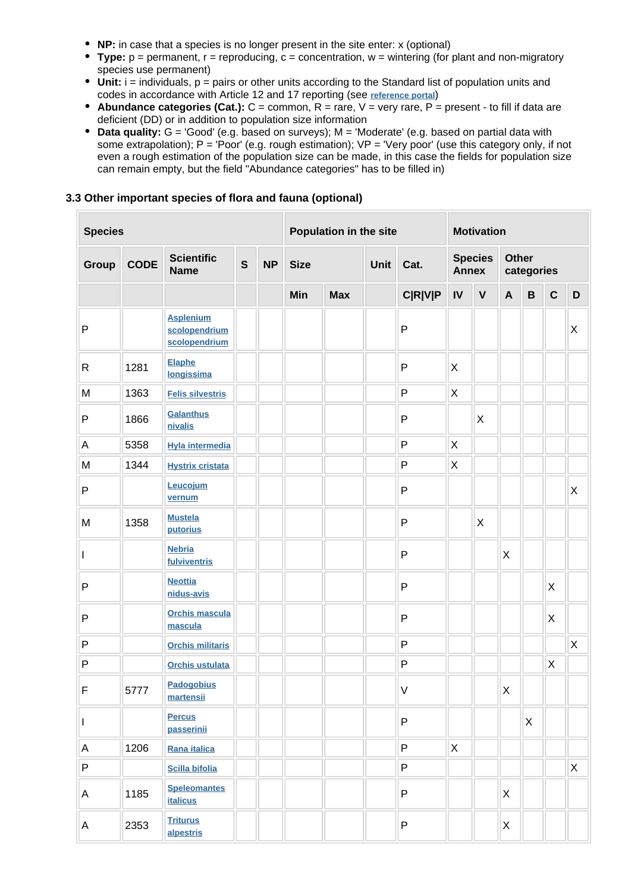- **NP:** in case that a species is no longer present in the site enter: x (optional)
- **Type:**  $p =$  permanent,  $r =$  reproducing,  $c =$  concentration,  $w =$  wintering (for plant and non-migratory species use permanent)
- Unit: i = individuals, p = pairs or other units according to the Standard list of population units and codes in accordance with Article 12 and 17 reporting (see **[reference portal](http://bd.eionet.europa.eu/activities/Natura_2000/reference_portal)**)
- **Abundance categories (Cat.):** C = common, R = rare, V = very rare, P = present to fill if data are deficient (DD) or in addition to population size information
- **Data quality:** G = 'Good' (e.g. based on surveys); M = 'Moderate' (e.g. based on partial data with some extrapolation); P = 'Poor' (e.g. rough estimation); VP = 'Very poor' (use this category only, if not even a rough estimation of the population size can be made, in this case the fields for population size can remain empty, but the field "Abundance categories" has to be filled in)

#### **3.3 Other important species of flora and fauna (optional)**

| <b>Species</b> |             |                                                    |              | Population in the site |             |             |  |                | <b>Motivation</b> |                                |              |                            |             |              |
|----------------|-------------|----------------------------------------------------|--------------|------------------------|-------------|-------------|--|----------------|-------------------|--------------------------------|--------------|----------------------------|-------------|--------------|
| Group          | <b>CODE</b> | <b>Scientific</b><br><b>Name</b>                   | $\mathbf{s}$ | <b>NP</b>              | <b>Size</b> | <b>Unit</b> |  | Cat.           |                   | <b>Species</b><br><b>Annex</b> |              | <b>Other</b><br>categories |             |              |
|                |             |                                                    |              |                        | Min         | <b>Max</b>  |  | <b>C R V P</b> | IV                | $\mathbf v$                    | $\mathbf{A}$ | $\, {\bf B}$               | $\mathbf C$ | $\mathsf D$  |
| P              |             | <b>Asplenium</b><br>scolopendrium<br>scolopendrium |              |                        |             |             |  | $\mathsf{P}$   |                   |                                |              |                            |             | Χ            |
| R              | 1281        | Elaphe<br>longissima                               |              |                        |             |             |  | $\mathsf{P}$   | X                 |                                |              |                            |             |              |
| M              | 1363        | <b>Felis silvestris</b>                            |              |                        |             |             |  | $\sf P$        | X                 |                                |              |                            |             |              |
| P              | 1866        | <b>Galanthus</b><br>nivalis                        |              |                        |             |             |  | $\mathsf{P}$   |                   | X                              |              |                            |             |              |
| $\mathsf A$    | 5358        | <b>Hyla intermedia</b>                             |              |                        |             |             |  | P              | X                 |                                |              |                            |             |              |
| M              | 1344        | <b>Hystrix cristata</b>                            |              |                        |             |             |  | P              | X                 |                                |              |                            |             |              |
| P              |             | Leucojum<br>vernum                                 |              |                        |             |             |  | $\mathsf{P}$   |                   |                                |              |                            |             | X            |
| M              | 1358        | <b>Mustela</b><br>putorius                         |              |                        |             |             |  | $\mathsf{P}$   |                   | $\boldsymbol{\mathsf{X}}$      |              |                            |             |              |
| I              |             | <b>Nebria</b><br>fulviventris                      |              |                        |             |             |  | $\mathsf{P}$   |                   |                                | X            |                            |             |              |
| P              |             | <b>Neottia</b><br>nidus-avis                       |              |                        |             |             |  | $\mathsf{P}$   |                   |                                |              |                            | X           |              |
| P              |             | <b>Orchis mascula</b><br>mascula                   |              |                        |             |             |  | P              |                   |                                |              |                            | X           |              |
| $\sf P$        |             | <b>Orchis militaris</b>                            |              |                        |             |             |  | $\mathsf{P}$   |                   |                                |              |                            |             | $\mathsf{X}$ |
| P              |             | <b>Orchis ustulata</b>                             |              |                        |             |             |  | P              |                   |                                |              |                            | $\sf X$     |              |
| F              | 5777        | <b>Padogobius</b><br>martensii                     |              |                        |             |             |  | $\mathsf V$    |                   |                                | X            |                            |             |              |
| L              |             | <b>Percus</b><br>passerinii                        |              |                        |             |             |  | $\mathsf P$    |                   |                                |              | $\mathsf{X}$               |             |              |
| $\mathsf{A}$   | 1206        | Rana italica                                       |              |                        |             |             |  | $\sf P$        | $\mathsf X$       |                                |              |                            |             |              |
| $\sf P$        |             | <b>Scilla bifolia</b>                              |              |                        |             |             |  | $\sf P$        |                   |                                |              |                            |             | X            |
| Α              | 1185        | <b>Speleomantes</b><br><b>italicus</b>             |              |                        |             |             |  | $\mathsf{P}$   |                   |                                | X            |                            |             |              |
| A              | 2353        | <b>Triturus</b><br>alpestris                       |              |                        |             |             |  | P              |                   |                                | X            |                            |             |              |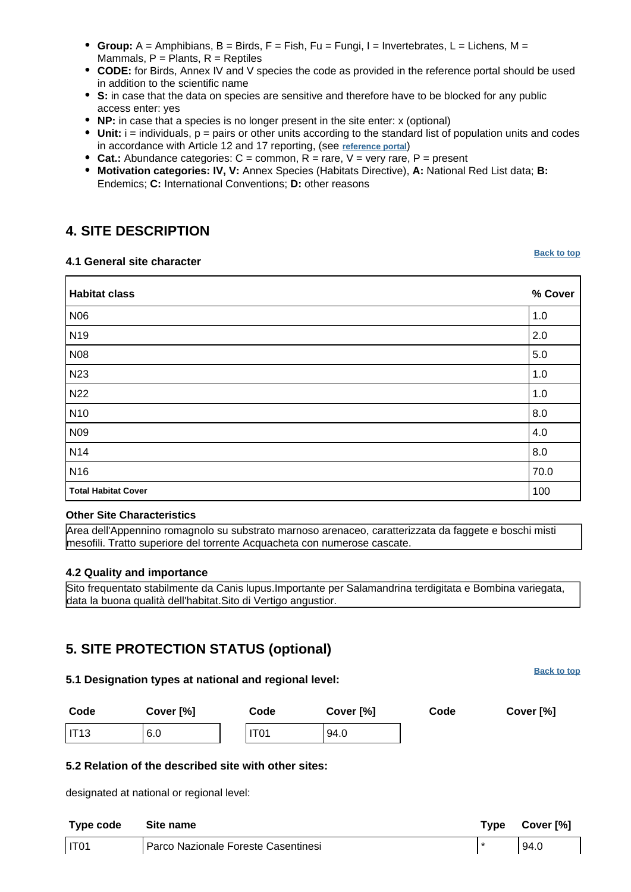- **Group:** A = Amphibians, B = Birds, F = Fish, Fu = Fungi, I = Invertebrates, L = Lichens, M = Mammals,  $P =$  Plants,  $R =$  Reptiles
- **CODE:** for Birds, Annex IV and V species the code as provided in the reference portal should be used in addition to the scientific name
- **S:** in case that the data on species are sensitive and therefore have to be blocked for any public access enter: yes
- **NP:** in case that a species is no longer present in the site enter: x (optional)
- **Unit:** i = individuals, p = pairs or other units according to the standard list of population units and codes in accordance with Article 12 and 17 reporting, (see **[reference portal](http://bd.eionet.europa.eu/activities/Natura_2000/reference_portal)**)
- **Cat.:** Abundance categories:  $C =$  common,  $R =$  rare,  $V =$  very rare,  $P =$  present
- **Motivation categories: IV, V:** Annex Species (Habitats Directive), **A:** National Red List data; **B:** Endemics; **C:** International Conventions; **D:** other reasons

## <span id="page-5-0"></span>**4. SITE DESCRIPTION**

#### **4.1 General site character**

| <b>Habitat class</b>       | % Cover |
|----------------------------|---------|
| N06                        | 1.0     |
| N <sub>19</sub>            | 2.0     |
| <b>N08</b>                 | 5.0     |
| N23                        | 1.0     |
| <b>N22</b>                 | 1.0     |
| N <sub>10</sub>            | 8.0     |
| N <sub>09</sub>            | 4.0     |
| <b>N14</b>                 | 8.0     |
| N <sub>16</sub>            | 70.0    |
| <b>Total Habitat Cover</b> | 100     |

#### **Other Site Characteristics**

Area dell'Appennino romagnolo su substrato marnoso arenaceo, caratterizzata da faggete e boschi misti mesofili. Tratto superiore del torrente Acquacheta con numerose cascate.

#### **4.2 Quality and importance**

Sito frequentato stabilmente da Canis lupus.Importante per Salamandrina terdigitata e Bombina variegata, data la buona qualità dell'habitat.Sito di Vertigo angustior.

## <span id="page-5-1"></span>**5. SITE PROTECTION STATUS (optional)**

# **5.1 Designation types at national and regional level: Code Cover [%] Code Cover [%] Code Cover [%]** IT13 6.0 IT01 94.0 **5.2 Relation of the described site with other sites:** designated at national or regional level: **Type code Site name Type Cover [%]**

| <b>I</b> Abe cone | <b>UILE HAHIE</b>                   | I Y NG | 00001101 |
|-------------------|-------------------------------------|--------|----------|
| $\vert$ IT01      | Parco Nazionale Foreste Casentinesi |        | 94.0     |

**[Back to top](#page-0-0)**

**[Back to top](#page-0-0)**